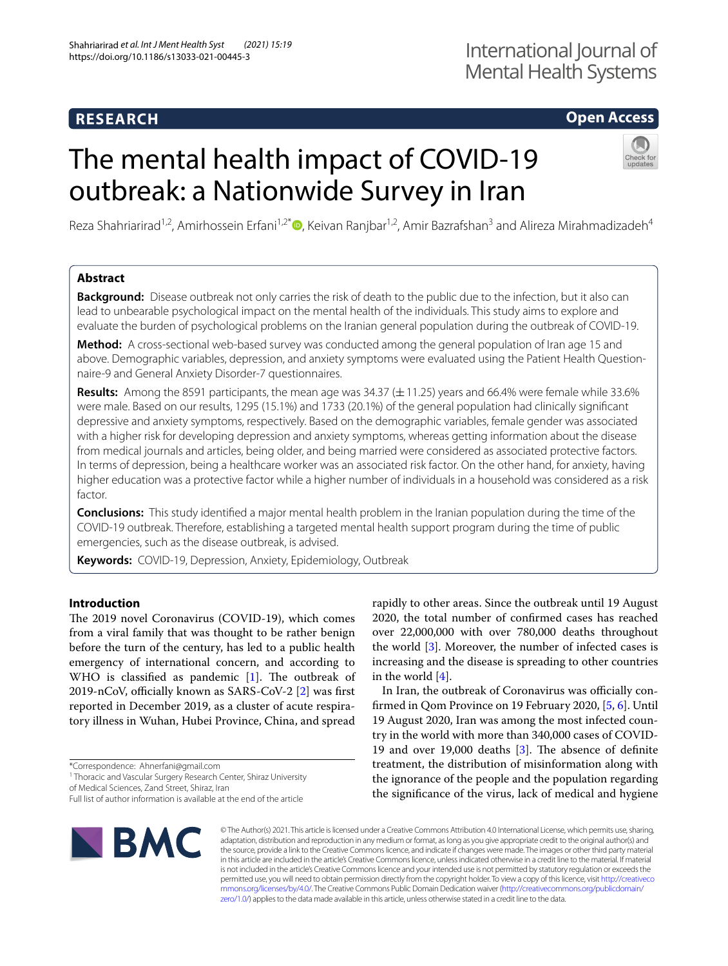# **Open Access**

# The mental health impact of COVID-19 outbreak: a Nationwide Survey in Iran



Reza Shahriarirad<sup>1,2</sup>, Amirhossein Erfani<sup>1,2[\\*](http://orcid.org/0000-0001-9065-5083)</sup>®, Keivan Ranjbar<sup>1,2</sup>, Amir Bazrafshan<sup>3</sup> and Alireza Mirahmadizadeh<sup>4</sup>

# **Abstract**

**Background:** Disease outbreak not only carries the risk of death to the public due to the infection, but it also can lead to unbearable psychological impact on the mental health of the individuals. This study aims to explore and evaluate the burden of psychological problems on the Iranian general population during the outbreak of COVID-19.

**Method:** A cross-sectional web-based survey was conducted among the general population of Iran age 15 and above. Demographic variables, depression, and anxiety symptoms were evaluated using the Patient Health Questionnaire-9 and General Anxiety Disorder-7 questionnaires.

**Results:** Among the 8591 participants, the mean age was 34.37 ( $\pm$  11.25) years and 66.4% were female while 33.6% were male. Based on our results, 1295 (15.1%) and 1733 (20.1%) of the general population had clinically signifcant depressive and anxiety symptoms, respectively. Based on the demographic variables, female gender was associated with a higher risk for developing depression and anxiety symptoms, whereas getting information about the disease from medical journals and articles, being older, and being married were considered as associated protective factors. In terms of depression, being a healthcare worker was an associated risk factor. On the other hand, for anxiety, having higher education was a protective factor while a higher number of individuals in a household was considered as a risk factor.

**Conclusions:** This study identifed a major mental health problem in the Iranian population during the time of the COVID-19 outbreak. Therefore, establishing a targeted mental health support program during the time of public emergencies, such as the disease outbreak, is advised.

**Keywords:** COVID-19, Depression, Anxiety, Epidemiology, Outbreak

# **Introduction**

The 2019 novel Coronavirus (COVID-19), which comes from a viral family that was thought to be rather benign before the turn of the century, has led to a public health emergency of international concern, and according to WHO is classified as pandemic  $[1]$  $[1]$ . The outbreak of 2019-nCoV, officially known as SARS-CoV-2  $[2]$  $[2]$  was first reported in December 2019, as a cluster of acute respiratory illness in Wuhan, Hubei Province, China, and spread

of Medical Sciences, Zand Street, Shiraz, Iran

Full list of author information is available at the end of the article



rapidly to other areas. Since the outbreak until 19 August 2020, the total number of confrmed cases has reached over 22,000,000 with over 780,000 deaths throughout the world  $[3]$  $[3]$ . Moreover, the number of infected cases is increasing and the disease is spreading to other countries in the world  $[4]$  $[4]$  $[4]$ .

In Iran, the outbreak of Coronavirus was officially confrmed in Qom Province on 19 February 2020, [\[5](#page-11-2), [6](#page-11-3)]. Until 19 August 2020, Iran was among the most infected country in the world with more than 340,000 cases of COVID-19 and over 19,000 deaths  $[3]$ . The absence of definite treatment, the distribution of misinformation along with the ignorance of the people and the population regarding the signifcance of the virus, lack of medical and hygiene

© The Author(s) 2021. This article is licensed under a Creative Commons Attribution 4.0 International License, which permits use, sharing, adaptation, distribution and reproduction in any medium or format, as long as you give appropriate credit to the original author(s) and the source, provide a link to the Creative Commons licence, and indicate if changes were made. The images or other third party material in this article are included in the article's Creative Commons licence, unless indicated otherwise in a credit line to the material. If material is not included in the article's Creative Commons licence and your intended use is not permitted by statutory regulation or exceeds the permitted use, you will need to obtain permission directly from the copyright holder. To view a copy of this licence, visit [http://creativeco](http://creativecommons.org/licenses/by/4.0/) [mmons.org/licenses/by/4.0/.](http://creativecommons.org/licenses/by/4.0/) The Creative Commons Public Domain Dedication waiver ([http://creativecommons.org/publicdomain/](http://creativecommons.org/publicdomain/zero/1.0/) [zero/1.0/\)](http://creativecommons.org/publicdomain/zero/1.0/) applies to the data made available in this article, unless otherwise stated in a credit line to the data.

<sup>\*</sup>Correspondence: Ahnerfani@gmail.com

<sup>&</sup>lt;sup>1</sup> Thoracic and Vascular Surgery Research Center, Shiraz University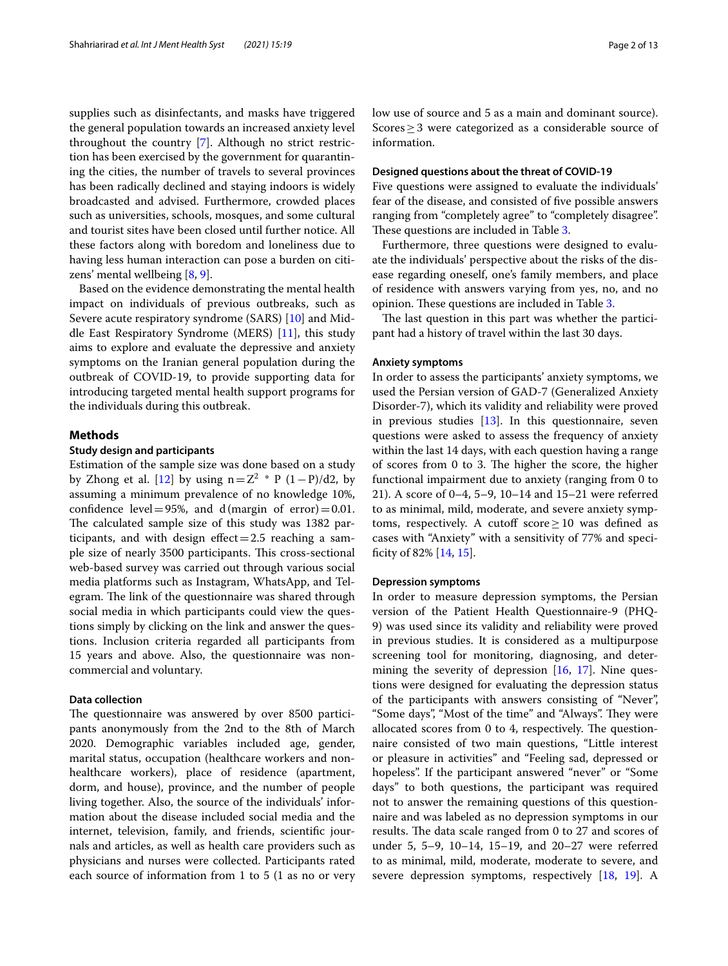supplies such as disinfectants, and masks have triggered the general population towards an increased anxiety level throughout the country [[7\]](#page-11-4). Although no strict restriction has been exercised by the government for quarantining the cities, the number of travels to several provinces has been radically declined and staying indoors is widely broadcasted and advised. Furthermore, crowded places such as universities, schools, mosques, and some cultural and tourist sites have been closed until further notice. All these factors along with boredom and loneliness due to having less human interaction can pose a burden on citizens' mental wellbeing [\[8](#page-11-5), [9\]](#page-11-6).

Based on the evidence demonstrating the mental health impact on individuals of previous outbreaks, such as Severe acute respiratory syndrome (SARS) [[10](#page-11-7)] and Middle East Respiratory Syndrome (MERS) [\[11](#page-11-8)], this study aims to explore and evaluate the depressive and anxiety symptoms on the Iranian general population during the outbreak of COVID-19, to provide supporting data for introducing targeted mental health support programs for the individuals during this outbreak.

## **Methods**

## **Study design and participants**

Estimation of the sample size was done based on a study by Zhong et al. [[12](#page-11-9)] by using  $n=Z^2 * P(1-P)/d2$ , by assuming a minimum prevalence of no knowledge 10%, confidence level = 95%, and d(margin of error) = 0.01. The calculated sample size of this study was 1382 participants, and with design  $effect = 2.5$  reaching a sample size of nearly 3500 participants. This cross-sectional web-based survey was carried out through various social media platforms such as Instagram, WhatsApp, and Telegram. The link of the questionnaire was shared through social media in which participants could view the questions simply by clicking on the link and answer the questions. Inclusion criteria regarded all participants from 15 years and above. Also, the questionnaire was noncommercial and voluntary.

# **Data collection**

The questionnaire was answered by over 8500 participants anonymously from the 2nd to the 8th of March 2020. Demographic variables included age, gender, marital status, occupation (healthcare workers and nonhealthcare workers), place of residence (apartment, dorm, and house), province, and the number of people living together. Also, the source of the individuals' information about the disease included social media and the internet, television, family, and friends, scientifc journals and articles, as well as health care providers such as physicians and nurses were collected. Participants rated each source of information from 1 to 5 (1 as no or very low use of source and 5 as a main and dominant source). Scores≥3 were categorized as a considerable source of information.

#### **Designed questions about the threat of COVID‑19**

Five questions were assigned to evaluate the individuals' fear of the disease, and consisted of fve possible answers ranging from "completely agree" to "completely disagree". These questions are included in Table [3.](#page-7-0)

Furthermore, three questions were designed to evaluate the individuals' perspective about the risks of the disease regarding oneself, one's family members, and place of residence with answers varying from yes, no, and no opinion. These questions are included in Table [3](#page-7-0).

The last question in this part was whether the participant had a history of travel within the last 30 days.

#### **Anxiety symptoms**

In order to assess the participants' anxiety symptoms, we used the Persian version of GAD-7 (Generalized Anxiety Disorder-7), which its validity and reliability were proved in previous studies [\[13](#page-11-10)]. In this questionnaire, seven questions were asked to assess the frequency of anxiety within the last 14 days, with each question having a range of scores from 0 to 3. The higher the score, the higher functional impairment due to anxiety (ranging from 0 to 21). A score of 0–4, 5–9, 10–14 and 15–21 were referred to as minimal, mild, moderate, and severe anxiety symptoms, respectively. A cutoff score  $\geq 10$  was defined as cases with "Anxiety" with a sensitivity of 77% and specifcity of 82% [[14,](#page-11-11) [15](#page-11-12)].

#### **Depression symptoms**

In order to measure depression symptoms, the Persian version of the Patient Health Questionnaire-9 (PHQ-9) was used since its validity and reliability were proved in previous studies. It is considered as a multipurpose screening tool for monitoring, diagnosing, and determining the severity of depression [[16](#page-11-13), [17\]](#page-11-14). Nine questions were designed for evaluating the depression status of the participants with answers consisting of "Never", "Some days", "Most of the time" and "Always". They were allocated scores from 0 to 4, respectively. The questionnaire consisted of two main questions, "Little interest or pleasure in activities" and "Feeling sad, depressed or hopeless". If the participant answered "never" or "Some days" to both questions, the participant was required not to answer the remaining questions of this questionnaire and was labeled as no depression symptoms in our results. The data scale ranged from 0 to 27 and scores of under 5, 5–9, 10–14, 15–19, and 20–27 were referred to as minimal, mild, moderate, moderate to severe, and severe depression symptoms, respectively [\[18,](#page-11-15) [19\]](#page-11-16). A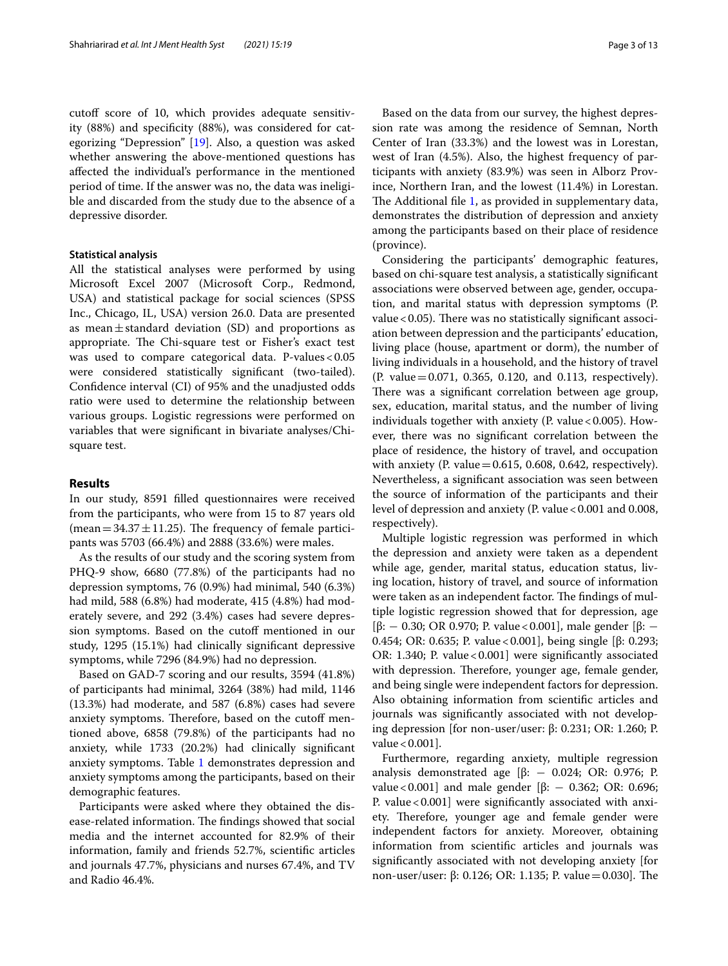cutoff score of 10, which provides adequate sensitivity (88%) and specifcity (88%), was considered for categorizing "Depression" [\[19](#page-11-16)]. Also, a question was asked whether answering the above-mentioned questions has afected the individual's performance in the mentioned period of time. If the answer was no, the data was ineligible and discarded from the study due to the absence of a depressive disorder.

#### **Statistical analysis**

All the statistical analyses were performed by using Microsoft Excel 2007 (Microsoft Corp., Redmond, USA) and statistical package for social sciences (SPSS Inc., Chicago, IL, USA) version 26.0. Data are presented as mean $\pm$ standard deviation (SD) and proportions as appropriate. The Chi-square test or Fisher's exact test was used to compare categorical data. P-values < 0.05 were considered statistically signifcant (two-tailed). Confdence interval (CI) of 95% and the unadjusted odds ratio were used to determine the relationship between various groups. Logistic regressions were performed on variables that were signifcant in bivariate analyses/Chisquare test.

### **Results**

In our study, 8591 flled questionnaires were received from the participants, who were from 15 to 87 years old (mean =  $34.37 \pm 11.25$ ). The frequency of female participants was 5703 (66.4%) and 2888 (33.6%) were males.

As the results of our study and the scoring system from PHQ-9 show, 6680 (77.8%) of the participants had no depression symptoms, 76 (0.9%) had minimal, 540 (6.3%) had mild, 588 (6.8%) had moderate, 415 (4.8%) had moderately severe, and 292 (3.4%) cases had severe depression symptoms. Based on the cutoff mentioned in our study, 1295 (15.1%) had clinically signifcant depressive symptoms, while 7296 (84.9%) had no depression.

Based on GAD-7 scoring and our results, 3594 (41.8%) of participants had minimal, 3264 (38%) had mild, 1146 (13.3%) had moderate, and 587 (6.8%) cases had severe anxiety symptoms. Therefore, based on the cutoff mentioned above, 6858 (79.8%) of the participants had no anxiety, while 1733 (20.2%) had clinically signifcant anxiety symptoms. Table [1](#page-3-0) demonstrates depression and anxiety symptoms among the participants, based on their demographic features.

Participants were asked where they obtained the disease-related information. The findings showed that social media and the internet accounted for 82.9% of their information, family and friends 52.7%, scientifc articles and journals 47.7%, physicians and nurses 67.4%, and TV and Radio 46.4%.

Based on the data from our survey, the highest depression rate was among the residence of Semnan, North Center of Iran (33.3%) and the lowest was in Lorestan, west of Iran (4.5%). Also, the highest frequency of participants with anxiety (83.9%) was seen in Alborz Province, Northern Iran, and the lowest (11.4%) in Lorestan. The Additional file [1,](#page-10-2) as provided in supplementary data, demonstrates the distribution of depression and anxiety among the participants based on their place of residence (province).

Considering the participants' demographic features, based on chi-square test analysis, a statistically signifcant associations were observed between age, gender, occupation, and marital status with depression symptoms (P. value  $<$  0.05). There was no statistically significant association between depression and the participants' education, living place (house, apartment or dorm), the number of living individuals in a household, and the history of travel (P. value=0.071, 0.365, 0.120, and 0.113, respectively). There was a significant correlation between age group, sex, education, marital status, and the number of living individuals together with anxiety (P. value  $< 0.005$ ). However, there was no signifcant correlation between the place of residence, the history of travel, and occupation with anxiety (P. value $=0.615$ , 0.608, 0.642, respectively). Nevertheless, a signifcant association was seen between the source of information of the participants and their level of depression and anxiety (P. value < 0.001 and 0.008, respectively).

Multiple logistic regression was performed in which the depression and anxiety were taken as a dependent while age, gender, marital status, education status, living location, history of travel, and source of information were taken as an independent factor. The findings of multiple logistic regression showed that for depression, age [β: - 0.30; OR 0.970; P. value < 0.001], male gender [β: -0.454; OR: 0.635; P. value<0.001], being single [β: 0.293; OR: 1.340; P. value  $< 0.001$ ] were significantly associated with depression. Therefore, younger age, female gender, and being single were independent factors for depression. Also obtaining information from scientifc articles and journals was signifcantly associated with not developing depression [for non-user/user: β: 0.231; OR: 1.260; P. value  $< 0.001$ ].

Furthermore, regarding anxiety, multiple regression analysis demonstrated age [ $β$ : - 0.024; OR: 0.976; P. value < 0.001] and male gender [β:  $-$  0.362; OR: 0.696; P. value < 0.001] were significantly associated with anxiety. Therefore, younger age and female gender were independent factors for anxiety. Moreover, obtaining information from scientifc articles and journals was signifcantly associated with not developing anxiety [for non-user/user: β: 0.126; OR: 1.135; P. value = 0.030]. The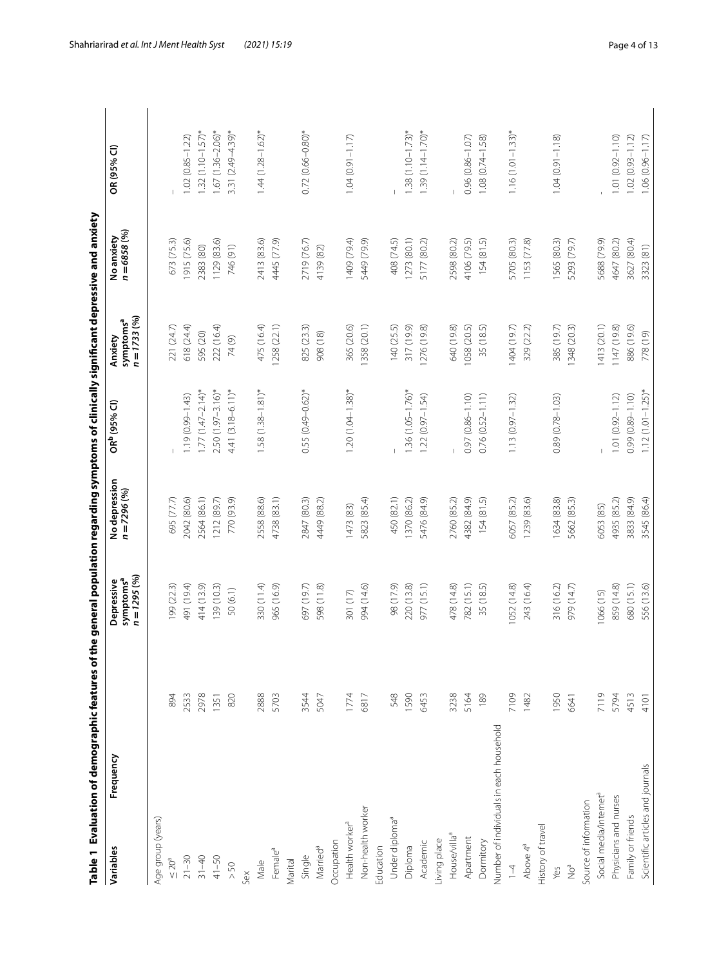<span id="page-3-0"></span>

| Frequency<br>Variables                  |      | $n = 1295 (%)$<br>Depressive<br>symptoms <sup>a</sup> | No depression<br>$n = 7296 (%)$ | OR <sup>b</sup> (95% Cl) | $n = 1733(96)$<br>symptoms <sup>a</sup><br>Anxiety | $n = 6858 (%)$<br>No anxiety | OR (95% CI)           |
|-----------------------------------------|------|-------------------------------------------------------|---------------------------------|--------------------------|----------------------------------------------------|------------------------------|-----------------------|
| Age group (years)                       |      |                                                       |                                 |                          |                                                    |                              |                       |
| $\leq$ 20 <sup>a</sup>                  | 894  | 199 (22.3)                                            | 695 (77.7)                      |                          | 221 (24.7)                                         | 673 (75.3)                   |                       |
| $21 - 30$                               | 2533 | 491 (19.4)                                            | 2042 (80.6)                     | $1.19(0.99 - 1.43)$      | 618 (24.4)                                         | 1915 (75.6)                  | $1.02(0.85 - 1.22)$   |
| $31 - 40$                               | 2978 | 414 (13.9)                                            | 2564 (86.1)                     | $1.77(1.47 - 2.14)^{*}$  | 595 (20)                                           | 2383 (80)                    | $1.32(1.10 - 1.57)$ * |
| $41 - 50$                               | 1351 | 139(10.3)                                             | 1212 (89.7)                     | $2.50(1.97-3.16)$ *      | 222 (16.4)                                         | 1129 (83.6)                  | $1.67(1.36 - 2.06)^*$ |
| $>50$                                   | 820  | 50(6.1)                                               | 770 (93.9)                      | $4.41(3.18 - 6.11)*$     | 74(9)                                              | 746 (91)                     | 3.31 (2.49-4.39)*     |
| Sex                                     |      |                                                       |                                 |                          |                                                    |                              |                       |
| Male                                    | 2888 | 330 (11.4)                                            | 2558 (88.6)                     | $1.58(1.38 - 1.81)^*$    | 475 (16.4)                                         | 2413 (83.6)                  | $1.44(1.28 - 1.62)$ * |
| Female <sup>a</sup>                     | 5703 | 965 (16.9)                                            | 4738 (83.1)                     |                          | 1258 (22.1)                                        | 4445 (77.9)                  |                       |
| Marital                                 |      |                                                       |                                 |                          |                                                    |                              |                       |
| Single                                  | 3544 | 697 (19.7)                                            | 2847 (80.3)                     | $0.55(0.49 - 0.62)^*$    | 825 (23.3)                                         | 2719 (76.7)                  | $0.72(0.66 - 0.80)*$  |
| Married <sup>a</sup>                    | 5047 | 598 (11.8)                                            | 4449 (88.2)                     |                          | 908 (18)                                           | 4139 (82)                    |                       |
| Occupation                              |      |                                                       |                                 |                          |                                                    |                              |                       |
| Health worker <sup>a</sup>              | 1774 | 301 (17)                                              | 1473 (83)                       | $1.20(1.04 - 1.38)$ *    | 365 (20.6)                                         | 1409 (79.4)                  | $1.04(0.91 - 1.17)$   |
| Non-health worker                       | 6817 | 994 (14.6)                                            | 5823 (85.4)                     |                          | 1358 (20.1)                                        | 5449 (79.9)                  |                       |
| Education                               |      |                                                       |                                 |                          |                                                    |                              |                       |
| Under diploma <sup>a</sup>              | 548  | 98 (17.9)                                             | 450 (82.1)                      |                          | 140 (25.5)                                         | 408 (74.5)                   |                       |
| Diploma                                 | 1590 | 220 (13.8)                                            | 370 (86.2)                      | $1.36(1.05 - 1.76)^*$    | 317 (19.9)                                         | 1273 (80.1)                  | $1.38(1.10 - 1.73)$ * |
| Academic                                | 6453 | 977 (15.1)                                            | 5476 (84.9)                     | $1.22(0.97 - 1.54)$      | 1276 (19.8)                                        | 5177 (80.2)                  | $1.39(1.14 - 1.70)$ * |
| Living place                            |      |                                                       |                                 |                          |                                                    |                              |                       |
| House/villa <sup>a</sup>                | 3238 | 478 (14.8)                                            | 2760 (85.2)                     |                          | 640 (19.8)                                         | 2598 (80.2)                  |                       |
| Apartment                               | 5164 | 782 (15.1)                                            | 4382 (84.9)                     | 0.97 (0.86-1.10)         | 1058 (20.5)                                        | 4106 (79.5)                  | $0.96(0.86 - 1.07)$   |
| Dormitory                               | 189  | 35 (18.5)                                             | 154(81.5)                       | $0.76(0.52 - 1.11)$      | 35 (18.5)                                          | 154(81.5)                    | 1.08 (0.74-1.58)      |
| Number of individuals in each household |      |                                                       |                                 |                          |                                                    |                              |                       |
| $1 - 4$                                 | 7109 | 1052 (14.8)                                           | 6057 (85.2)                     | $1.13(0.97 - 1.32)$      | 1404 (19.7)                                        | 5705 (80.3)                  | $1.16(1.01 - 1.33)^*$ |
| Above 4 <sup>ª</sup>                    | 1482 | 243 (16.4)                                            | 1239 (83.6)                     |                          | 329 (22.2)                                         | 1153 (77.8)                  |                       |
| History of travel                       |      |                                                       |                                 |                          |                                                    |                              |                       |
| Yes                                     | 1950 | 316 (16.2)                                            | 1634 (83.8)                     | $0.89(0.78 - 1.03)$      | 385 (19.7)                                         | 1565 (80.3)                  | $1.04(0.91 - 1.18)$   |
| $\sum_{i=1}^{d}$                        | 6641 | 979 (14.7)                                            | 5662 (85.3)                     |                          | 1348 (20.3)                                        | 5293 (79.7)                  |                       |
| Source of information                   |      |                                                       |                                 |                          |                                                    |                              |                       |
| Social media/internet <sup>a</sup>      | 7119 | 1066(15)                                              | 6053 (85)                       |                          | 1413 (20.1)                                        | 5688 (79.9)                  |                       |
| Physicians and nurses                   | 5794 | 859 (14.8)                                            | 4935 (85.2)                     | $1.01(0.92 - 1.12)$      | 1147 (19.8)                                        | 4647 (80.2)                  | $1.01(0.92 - 1.10)$   |
| Family or friends                       | 4513 | 680 (15.1)                                            | 3833 (84.9)                     | 0.99 (0.89-1.10)         | 886 (19.6)                                         | 3627 (80.4)                  | $1.02(0.93 - 1.12)$   |
| Scientific articles and journals        | 4101 | 556 (13.6)                                            | 3545 (86.4)                     | $1.12(1.01 - 1.25)^*$    | 778(19)                                            | 3323 (81)                    | $1.06(0.96 - 1.17)$   |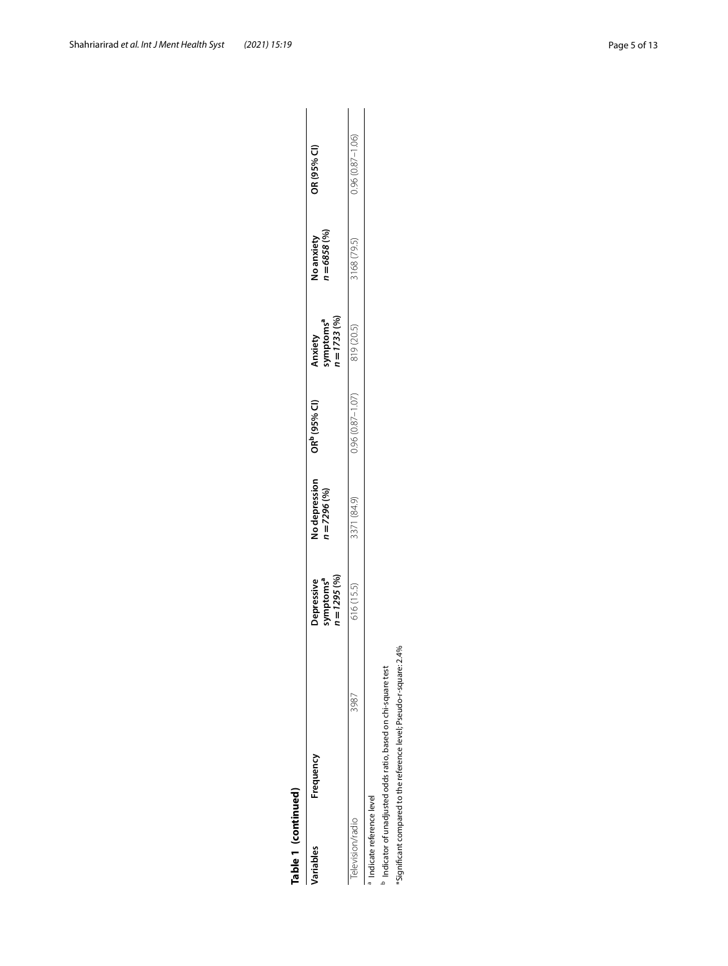| Ξ                     |
|-----------------------|
|                       |
|                       |
|                       |
|                       |
|                       |
|                       |
|                       |
|                       |
| Ľ                     |
|                       |
|                       |
|                       |
| ۹                     |
|                       |
|                       |
| r                     |
|                       |
| 5<br>Í<br>ł<br>٦<br>r |
|                       |
|                       |

| fable 1 (continued)      |           |      |                                                     |                               |                          |                                                  |                                    |                     |
|--------------------------|-----------|------|-----------------------------------------------------|-------------------------------|--------------------------|--------------------------------------------------|------------------------------------|---------------------|
| ariables                 | Frequency |      | Depressive<br>symptoms <sup>a</sup><br>1 = 1295 (%) | lo depression<br>$= 7296 (%)$ | OR <sup>b</sup> (95% CI) | Anxiety<br>symptoms <sup>a</sup><br>n = 1733 (%) | $n = 6858(%)$<br><b>Vo anxiety</b> | OR (95% CI)         |
| elevision/radio          |           | 3987 | 16(15.5)                                            | 3371 (84.9)                   | $0.96(0.87 - 1.07)$      | 919 (20.5)                                       | (168(79.5))                        | $0.96(0.87 - 1.06)$ |
| Indicate reference level |           |      |                                                     |                               |                          |                                                  |                                    |                     |

<sup>a</sup> Indicate reference level<br><sup>b</sup> Indicator of unadjusted odds ratio, based on chi-square test<br>\*Significant compared to the reference level; Pseudo-r-square: 2.4% <sup>b</sup> Indicator of unadjusted odds ratio, based on chi-square test

\*Significant compared to the reference level; Pseudo-r-square: 2.4%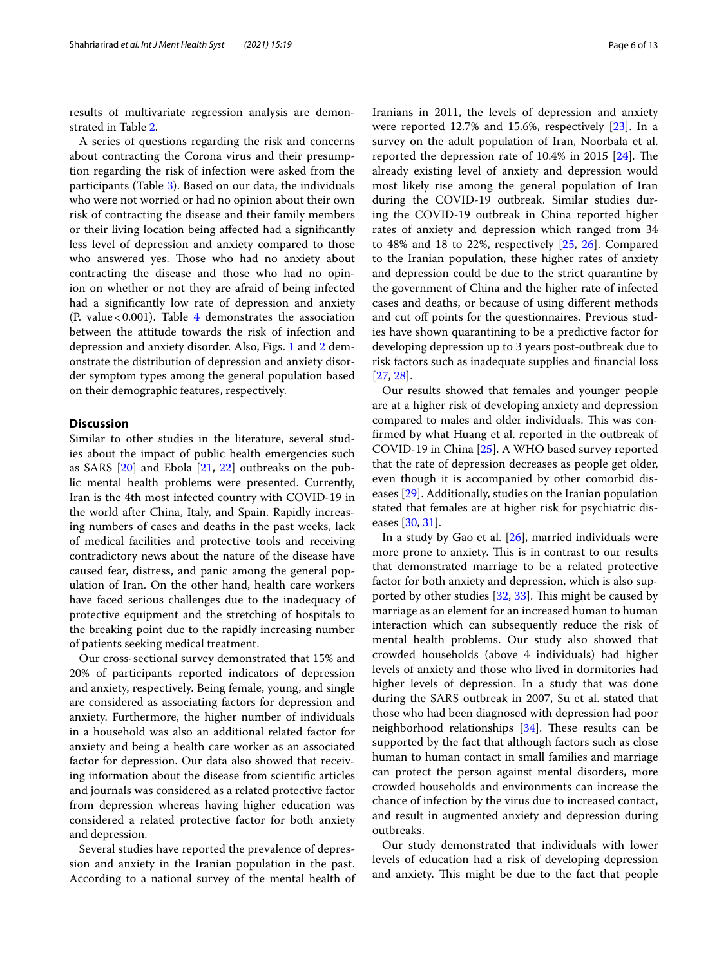results of multivariate regression analysis are demonstrated in Table [2](#page-6-0).

A series of questions regarding the risk and concerns about contracting the Corona virus and their presumption regarding the risk of infection were asked from the participants (Table [3\)](#page-7-0). Based on our data, the individuals who were not worried or had no opinion about their own risk of contracting the disease and their family members or their living location being afected had a signifcantly less level of depression and anxiety compared to those who answered yes. Those who had no anxiety about contracting the disease and those who had no opinion on whether or not they are afraid of being infected had a signifcantly low rate of depression and anxiety (P. value <  $0.001$ ). Table [4](#page-8-0) demonstrates the association between the attitude towards the risk of infection and depression and anxiety disorder. Also, Figs. [1](#page-9-0) and [2](#page-10-3) demonstrate the distribution of depression and anxiety disorder symptom types among the general population based on their demographic features, respectively.

# **Discussion**

Similar to other studies in the literature, several studies about the impact of public health emergencies such as SARS [[20\]](#page-11-17) and Ebola [\[21,](#page-11-18) [22\]](#page-11-19) outbreaks on the public mental health problems were presented. Currently, Iran is the 4th most infected country with COVID-19 in the world after China, Italy, and Spain. Rapidly increasing numbers of cases and deaths in the past weeks, lack of medical facilities and protective tools and receiving contradictory news about the nature of the disease have caused fear, distress, and panic among the general population of Iran. On the other hand, health care workers have faced serious challenges due to the inadequacy of protective equipment and the stretching of hospitals to the breaking point due to the rapidly increasing number of patients seeking medical treatment.

Our cross-sectional survey demonstrated that 15% and 20% of participants reported indicators of depression and anxiety, respectively. Being female, young, and single are considered as associating factors for depression and anxiety. Furthermore, the higher number of individuals in a household was also an additional related factor for anxiety and being a health care worker as an associated factor for depression. Our data also showed that receiving information about the disease from scientifc articles and journals was considered as a related protective factor from depression whereas having higher education was considered a related protective factor for both anxiety and depression.

Several studies have reported the prevalence of depression and anxiety in the Iranian population in the past. According to a national survey of the mental health of Iranians in 2011, the levels of depression and anxiety were reported 12.7% and 15.6%, respectively [[23\]](#page-11-20). In a survey on the adult population of Iran, Noorbala et al. reported the depression rate of  $10.4\%$  in 2015 [\[24](#page-11-21)]. The already existing level of anxiety and depression would most likely rise among the general population of Iran during the COVID-19 outbreak. Similar studies during the COVID-19 outbreak in China reported higher rates of anxiety and depression which ranged from 34 to 48% and 18 to 22%, respectively [\[25](#page-11-22), [26\]](#page-11-23). Compared to the Iranian population, these higher rates of anxiety and depression could be due to the strict quarantine by the government of China and the higher rate of infected cases and deaths, or because of using diferent methods and cut off points for the questionnaires. Previous studies have shown quarantining to be a predictive factor for developing depression up to 3 years post-outbreak due to risk factors such as inadequate supplies and fnancial loss [[27,](#page-11-24) [28](#page-11-25)].

Our results showed that females and younger people are at a higher risk of developing anxiety and depression compared to males and older individuals. This was confrmed by what Huang et al. reported in the outbreak of COVID-19 in China [\[25\]](#page-11-22). A WHO based survey reported that the rate of depression decreases as people get older, even though it is accompanied by other comorbid diseases [\[29](#page-11-26)]. Additionally, studies on the Iranian population stated that females are at higher risk for psychiatric diseases [[30](#page-11-27), [31\]](#page-11-28).

In a study by Gao et al. [[26\]](#page-11-23), married individuals were more prone to anxiety. This is in contrast to our results that demonstrated marriage to be a related protective factor for both anxiety and depression, which is also supported by other studies  $[32, 33]$  $[32, 33]$  $[32, 33]$ . This might be caused by marriage as an element for an increased human to human interaction which can subsequently reduce the risk of mental health problems. Our study also showed that crowded households (above 4 individuals) had higher levels of anxiety and those who lived in dormitories had higher levels of depression. In a study that was done during the SARS outbreak in 2007, Su et al. stated that those who had been diagnosed with depression had poor neighborhood relationships  $[34]$  $[34]$ . These results can be supported by the fact that although factors such as close human to human contact in small families and marriage can protect the person against mental disorders, more crowded households and environments can increase the chance of infection by the virus due to increased contact, and result in augmented anxiety and depression during outbreaks.

Our study demonstrated that individuals with lower levels of education had a risk of developing depression and anxiety. This might be due to the fact that people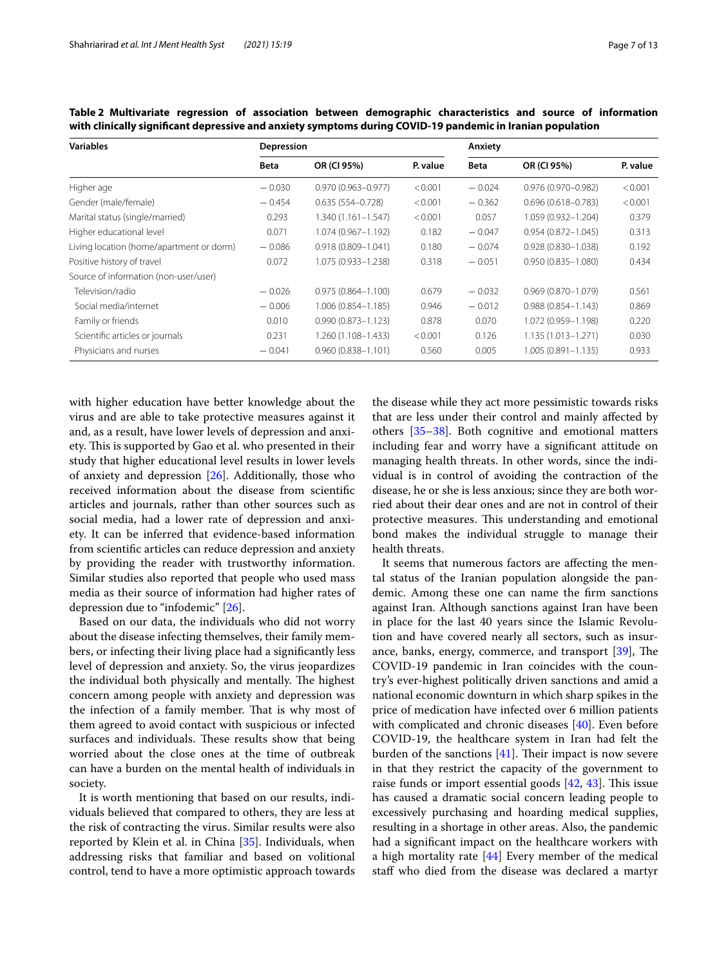| <b>Variables</b>                         | Depression  |                        |          | Anxiety     |                        |          |  |
|------------------------------------------|-------------|------------------------|----------|-------------|------------------------|----------|--|
|                                          | <b>Beta</b> | OR (CI 95%)            | P. value | <b>Beta</b> | OR (CI 95%)            | P. value |  |
| Higher age                               | $-0.030$    | $0.970(0.963 - 0.977)$ | < 0.001  | $-0.024$    | $0.976(0.970 - 0.982)$ | < 0.001  |  |
| Gender (male/female)                     | $-0.454$    | $0.635(554 - 0.728)$   | < 0.001  | $-0.362$    | $0.696(0.618 - 0.783)$ | < 0.001  |  |
| Marital status (single/married)          | 0.293       | $1.340(1.161 - 1.547)$ | < 0.001  | 0.057       | 1.059 (0.932-1.204)    | 0.379    |  |
| Higher educational level                 | 0.071       | 1.074 (0.967-1.192)    | 0.182    | $-0.047$    | $0.954(0.872 - 1.045)$ | 0.313    |  |
| Living location (home/apartment or dorm) | $-0.086$    | $0.918(0.809 - 1.041)$ | 0.180    | $-0.074$    | $0.928(0.830 - 1.038)$ | 0.192    |  |
| Positive history of travel               | 0.072       | 1.075 (0.933-1.238)    | 0.318    | $-0.051$    | $0.950(0.835 - 1.080)$ | 0.434    |  |
| Source of information (non-user/user)    |             |                        |          |             |                        |          |  |
| Television/radio                         | $-0.026$    | $0.975(0.864 - 1.100)$ | 0.679    | $-0.032$    | $0.969(0.870 - 1.079)$ | 0.561    |  |
| Social media/internet                    | $-0.006$    | 1.006 (0.854-1.185)    | 0.946    | $-0.012$    | $0.988(0.854 - 1.143)$ | 0.869    |  |
| Family or friends                        | 0.010       | $0.990(0.873 - 1.123)$ | 0.878    | 0.070       | 1.072 (0.959-1.198)    | 0.220    |  |
| Scientific articles or journals          | 0.231       | 1.260 (1.108-1.433)    | < 0.001  | 0.126       | 1.135 (1.013-1.271)    | 0.030    |  |
| Physicians and nurses                    | $-0.041$    | $0.960(0.838 - 1.101)$ | 0.560    | 0.005       | $1.005(0.891 - 1.135)$ | 0.933    |  |

<span id="page-6-0"></span>**Table 2 Multivariate regression of association between demographic characteristics and source of information with clinically signifcant depressive and anxiety symptoms during COVID-19 pandemic in Iranian population**

with higher education have better knowledge about the virus and are able to take protective measures against it and, as a result, have lower levels of depression and anxiety. This is supported by Gao et al. who presented in their study that higher educational level results in lower levels of anxiety and depression [\[26\]](#page-11-23). Additionally, those who received information about the disease from scientifc articles and journals, rather than other sources such as social media, had a lower rate of depression and anxiety. It can be inferred that evidence-based information from scientifc articles can reduce depression and anxiety by providing the reader with trustworthy information. Similar studies also reported that people who used mass media as their source of information had higher rates of depression due to "infodemic" [\[26](#page-11-23)].

Based on our data, the individuals who did not worry about the disease infecting themselves, their family members, or infecting their living place had a signifcantly less level of depression and anxiety. So, the virus jeopardizes the individual both physically and mentally. The highest concern among people with anxiety and depression was the infection of a family member. That is why most of them agreed to avoid contact with suspicious or infected surfaces and individuals. These results show that being worried about the close ones at the time of outbreak can have a burden on the mental health of individuals in society.

It is worth mentioning that based on our results, individuals believed that compared to others, they are less at the risk of contracting the virus. Similar results were also reported by Klein et al. in China [[35\]](#page-11-32). Individuals, when addressing risks that familiar and based on volitional control, tend to have a more optimistic approach towards the disease while they act more pessimistic towards risks that are less under their control and mainly afected by others [[35](#page-11-32)[–38](#page-11-33)]. Both cognitive and emotional matters including fear and worry have a signifcant attitude on managing health threats. In other words, since the individual is in control of avoiding the contraction of the disease, he or she is less anxious; since they are both worried about their dear ones and are not in control of their protective measures. This understanding and emotional bond makes the individual struggle to manage their health threats.

It seems that numerous factors are afecting the mental status of the Iranian population alongside the pandemic. Among these one can name the frm sanctions against Iran. Although sanctions against Iran have been in place for the last 40 years since the Islamic Revolution and have covered nearly all sectors, such as insurance, banks, energy, commerce, and transport  $[39]$  $[39]$ , The COVID-19 pandemic in Iran coincides with the country's ever-highest politically driven sanctions and amid a national economic downturn in which sharp spikes in the price of medication have infected over 6 million patients with complicated and chronic diseases [\[40](#page-11-35)]. Even before COVID-19, the healthcare system in Iran had felt the burden of the sanctions  $[41]$  $[41]$ . Their impact is now severe in that they restrict the capacity of the government to raise funds or import essential goods  $[42, 43]$  $[42, 43]$  $[42, 43]$  $[42, 43]$ . This issue has caused a dramatic social concern leading people to excessively purchasing and hoarding medical supplies, resulting in a shortage in other areas. Also, the pandemic had a signifcant impact on the healthcare workers with a high mortality rate [[44\]](#page-11-39) Every member of the medical staf who died from the disease was declared a martyr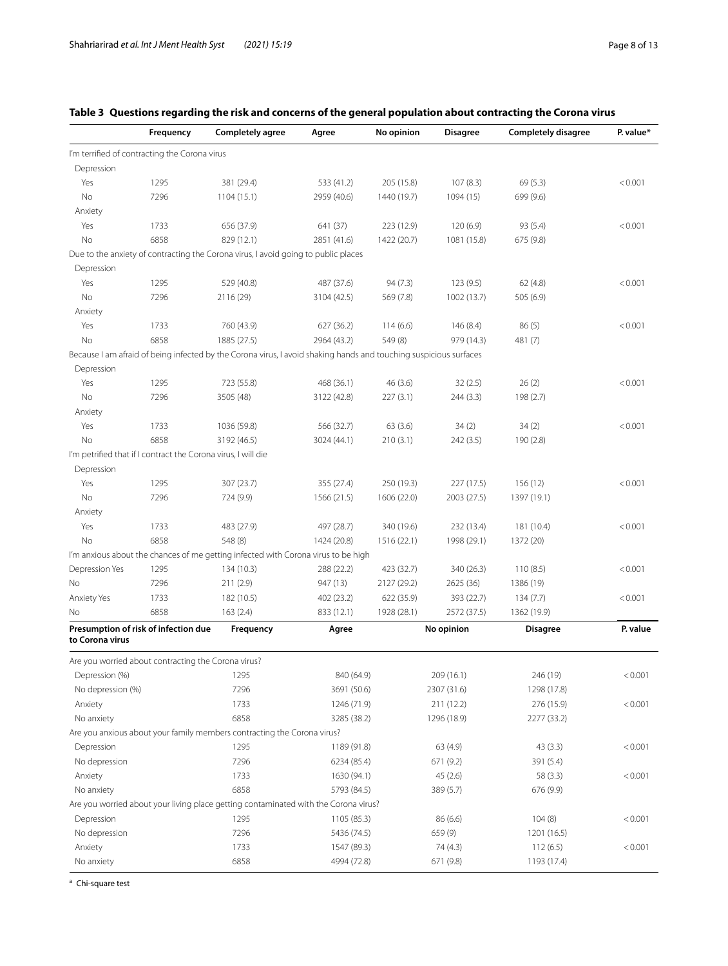|                   | Frequency                                                     | <b>Completely agree</b>                                                                                           | Agree       | No opinion  | <b>Disagree</b> | <b>Completely disagree</b> | P. value* |
|-------------------|---------------------------------------------------------------|-------------------------------------------------------------------------------------------------------------------|-------------|-------------|-----------------|----------------------------|-----------|
|                   | I'm terrified of contracting the Corona virus                 |                                                                                                                   |             |             |                 |                            |           |
| Depression        |                                                               |                                                                                                                   |             |             |                 |                            |           |
| Yes               | 1295                                                          | 381 (29.4)                                                                                                        | 533 (41.2)  | 205 (15.8)  | 107(8.3)        | 69(5.3)                    | < 0.001   |
| No                | 7296                                                          | 1104(15.1)                                                                                                        | 2959 (40.6) | 1440 (19.7) | 1094 (15)       | 699 (9.6)                  |           |
| Anxiety           |                                                               |                                                                                                                   |             |             |                 |                            |           |
| Yes               | 1733                                                          | 656 (37.9)                                                                                                        | 641 (37)    | 223 (12.9)  | 120(6.9)        | 93(5.4)                    | < 0.001   |
| No                | 6858                                                          | 829 (12.1)                                                                                                        | 2851 (41.6) | 1422 (20.7) | 1081 (15.8)     | 675 (9.8)                  |           |
|                   |                                                               | Due to the anxiety of contracting the Corona virus, I avoid going to public places                                |             |             |                 |                            |           |
| Depression        |                                                               |                                                                                                                   |             |             |                 |                            |           |
| Yes               | 1295                                                          | 529 (40.8)                                                                                                        | 487 (37.6)  | 94(7.3)     | 123(9.5)        | 62(4.8)                    | < 0.001   |
| No                | 7296                                                          | 2116 (29)                                                                                                         | 3104 (42.5) | 569 (7.8)   | 1002 (13.7)     | 505 (6.9)                  |           |
| Anxiety           |                                                               |                                                                                                                   |             |             |                 |                            |           |
| Yes               | 1733                                                          | 760 (43.9)                                                                                                        | 627 (36.2)  | 114(6.6)    | 146 (8.4)       | 86(5)                      | < 0.001   |
| No                | 6858                                                          | 1885 (27.5)                                                                                                       | 2964 (43.2) | 549 (8)     | 979 (14.3)      | 481 (7)                    |           |
|                   |                                                               | Because I am afraid of being infected by the Corona virus, I avoid shaking hands and touching suspicious surfaces |             |             |                 |                            |           |
| Depression        |                                                               |                                                                                                                   |             |             |                 |                            |           |
| Yes               | 1295                                                          | 723 (55.8)                                                                                                        | 468 (36.1)  | 46(3.6)     | 32(2.5)         | 26(2)                      | < 0.001   |
| No                | 7296                                                          | 3505 (48)                                                                                                         | 3122 (42.8) | 227(3.1)    | 244 (3.3)       | 198 (2.7)                  |           |
| Anxiety           |                                                               |                                                                                                                   |             |             |                 |                            |           |
| Yes               | 1733                                                          | 1036 (59.8)                                                                                                       | 566 (32.7)  | 63(3.6)     | 34(2)           | 34(2)                      | < 0.001   |
| No                | 6858                                                          | 3192 (46.5)                                                                                                       | 3024 (44.1) | 210(3.1)    | 242(3.5)        | 190 (2.8)                  |           |
|                   | I'm petrified that if I contract the Corona virus, I will die |                                                                                                                   |             |             |                 |                            |           |
| Depression        |                                                               |                                                                                                                   |             |             |                 |                            |           |
| Yes               | 1295                                                          | 307 (23.7)                                                                                                        | 355 (27.4)  | 250 (19.3)  | 227 (17.5)      | 156 (12)                   | < 0.001   |
| No                | 7296                                                          | 724 (9.9)                                                                                                         | 1566 (21.5) | 1606 (22.0) | 2003 (27.5)     | 1397 (19.1)                |           |
| Anxiety           |                                                               |                                                                                                                   |             |             |                 |                            |           |
| Yes               | 1733                                                          | 483 (27.9)                                                                                                        | 497 (28.7)  | 340 (19.6)  | 232 (13.4)      | 181 (10.4)                 | < 0.001   |
| <b>No</b>         | 6858                                                          | 548 (8)                                                                                                           | 1424 (20.8) | 1516 (22.1) | 1998 (29.1)     | 1372 (20)                  |           |
|                   |                                                               | I'm anxious about the chances of me getting infected with Corona virus to be high                                 |             |             |                 |                            |           |
| Depression Yes    | 1295                                                          | 134 (10.3)                                                                                                        | 288 (22.2)  | 423 (32.7)  | 340 (26.3)      | 110(8.5)                   | < 0.001   |
| <b>No</b>         | 7296                                                          | 211 (2.9)                                                                                                         | 947 (13)    | 2127 (29.2) | 2625 (36)       | 1386 (19)                  |           |
| Anxiety Yes       | 1733                                                          | 182 (10.5)                                                                                                        | 402 (23.2)  | 622 (35.9)  | 393 (22.7)      | 134(7.7)                   | < 0.001   |
| No.               | 6858                                                          | 163(2.4)                                                                                                          | 833 (12.1)  | 1928 (28.1) | 2572 (37.5)     | 1362 (19.9)                |           |
|                   |                                                               |                                                                                                                   |             |             |                 |                            |           |
| to Corona virus   | Presumption of risk of infection due                          | Frequency                                                                                                         | Agree       |             | No opinion      | <b>Disagree</b>            | P. value  |
|                   | Are you worried about contracting the Corona virus?           |                                                                                                                   |             |             |                 |                            |           |
| Depression (%)    |                                                               | 1295                                                                                                              | 840 (64.9)  |             | 209 (16.1)      | 246 (19)                   | < 0.001   |
| No depression (%) |                                                               | 7296                                                                                                              | 3691 (50.6) |             | 2307 (31.6)     | 1298 (17.8)                |           |
| Anxiety           |                                                               | 1733                                                                                                              | 1246 (71.9) |             | 211(12.2)       | 276 (15.9)                 | < 0.001   |
| No anxiety        |                                                               | 6858                                                                                                              | 3285 (38.2) |             | 1296 (18.9)     | 2277 (33.2)                |           |
|                   |                                                               | Are you anxious about your family members contracting the Corona virus?                                           |             |             |                 |                            |           |
| Depression        |                                                               | 1295                                                                                                              | 1189 (91.8) |             | 63 (4.9)        | 43(3.3)                    | < 0.001   |
| No depression     |                                                               | 7296                                                                                                              | 6234 (85.4) |             | 671 (9.2)       | 391 (5.4)                  |           |
| Anxiety           |                                                               | 1733                                                                                                              | 1630 (94.1) |             | 45(2.6)         | 58 (3.3)                   | < 0.001   |
| No anxiety        |                                                               | 6858                                                                                                              | 5793 (84.5) |             | 389 (5.7)       | 676 (9.9)                  |           |
|                   |                                                               | Are you worried about your living place getting contaminated with the Corona virus?                               |             |             |                 |                            |           |
| Depression        |                                                               | 1295                                                                                                              | 1105 (85.3) |             | 86(6.6)         | 104(8)                     | < 0.001   |
| No depression     |                                                               | 7296                                                                                                              | 5436 (74.5) |             | 659 (9)         | 1201 (16.5)                |           |
| Anxiety           |                                                               | 1733                                                                                                              | 1547 (89.3) |             | 74 (4.3)        | 112(6.5)                   | < 0.001   |
| No anxiety        |                                                               | 6858                                                                                                              | 4994 (72.8) |             | 671 (9.8)       | 1193 (17.4)                |           |

# <span id="page-7-0"></span>**Table 3 Questions regarding the risk and concerns of the general population about contracting the Corona virus**

<sup>a</sup> Chi-square test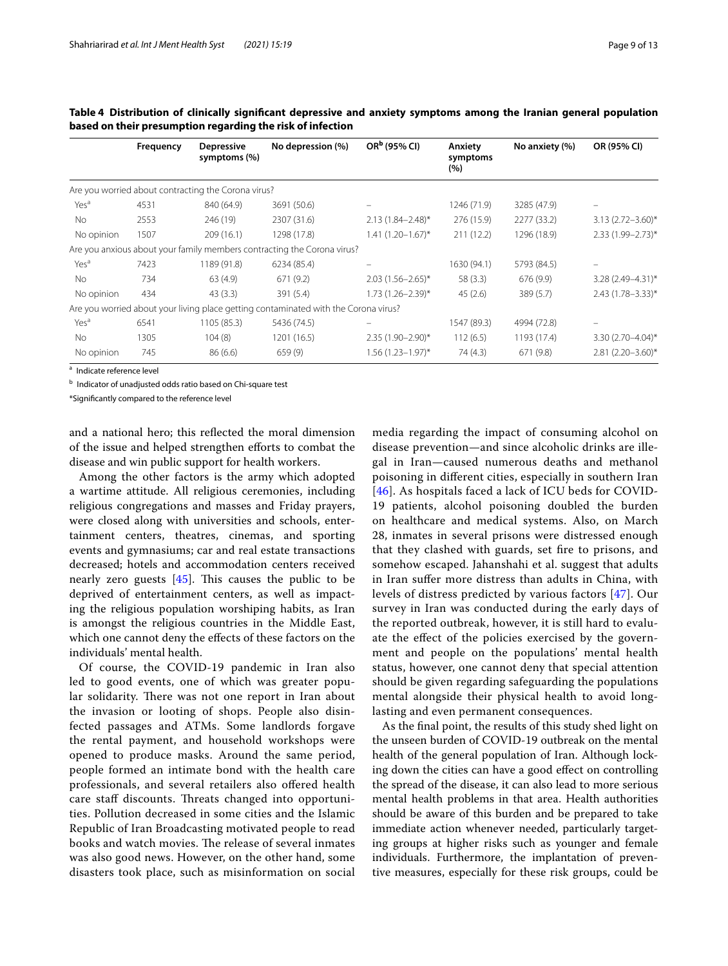|                  | Frequency | <b>Depressive</b><br>symptoms (%)                   | No depression (%)                                                                   | OR <sup>b</sup> (95% CI) | Anxiety<br>symptoms<br>(%) | No anxiety (%) | OR (95% CI)           |
|------------------|-----------|-----------------------------------------------------|-------------------------------------------------------------------------------------|--------------------------|----------------------------|----------------|-----------------------|
|                  |           | Are you worried about contracting the Corona virus? |                                                                                     |                          |                            |                |                       |
| Yes <sup>a</sup> | 4531      | 840 (64.9)                                          | 3691 (50.6)                                                                         |                          | 1246 (71.9)                | 3285 (47.9)    |                       |
| <b>No</b>        | 2553      | 246 (19)                                            | 2307 (31.6)                                                                         | $2.13(1.84 - 2.48)^*$    | 276 (15.9)                 | 2277 (33.2)    | $3.13(2.72 - 3.60)^*$ |
| No opinion       | 1507      | 209 (16.1)                                          | 1298 (17.8)                                                                         | $1.41(1.20-1.67)^{*}$    | 211(12.2)                  | 1296 (18.9)    | 2.33 (1.99-2.73)*     |
|                  |           |                                                     | Are you anxious about your family members contracting the Corona virus?             |                          |                            |                |                       |
| Yes <sup>a</sup> | 7423      | 1189 (91.8)                                         | 6234 (85.4)                                                                         |                          | 1630 (94.1)                | 5793 (84.5)    |                       |
| <b>No</b>        | 734       | 63(4.9)                                             | 671(9.2)                                                                            | $2.03(1.56 - 2.65)^*$    | 58(3.3)                    | 676 (9.9)      | 3.28 (2.49-4.31)*     |
| No opinion       | 434       | 43(3.3)                                             | 391 (5.4)                                                                           | $1.73(1.26 - 2.39)^*$    | 45(2.6)                    | 389 (5.7)      | 2.43 (1.78-3.33)*     |
|                  |           |                                                     | Are you worried about your living place getting contaminated with the Corona virus? |                          |                            |                |                       |
| Yes <sup>a</sup> | 6541      | 1105 (85.3)                                         | 5436 (74.5)                                                                         |                          | 1547 (89.3)                | 4994 (72.8)    |                       |
| <b>No</b>        | 1305      | 104(8)                                              | 1201 (16.5)                                                                         | 2.35 (1.90-2.90)*        | 112(6.5)                   | 1193 (17.4)    | 3.30 (2.70-4.04)*     |
| No opinion       | 745       | 86(6.6)                                             | 659(9)                                                                              | $1.56(1.23 - 1.97)^*$    | 74(4.3)                    | 671 (9.8)      | 2.81 (2.20-3.60)*     |

<span id="page-8-0"></span>**Table 4 Distribution of clinically signifcant depressive and anxiety symptoms among the Iranian general population based on their presumption regarding the risk of infection**

<sup>a</sup> Indicate reference level

<sup>b</sup> Indicator of unadjusted odds ratio based on Chi-square test

\*Signifcantly compared to the reference level

and a national hero; this refected the moral dimension of the issue and helped strengthen eforts to combat the disease and win public support for health workers.

Among the other factors is the army which adopted a wartime attitude. All religious ceremonies, including religious congregations and masses and Friday prayers, were closed along with universities and schools, entertainment centers, theatres, cinemas, and sporting events and gymnasiums; car and real estate transactions decreased; hotels and accommodation centers received nearly zero guests  $[45]$  $[45]$ . This causes the public to be deprived of entertainment centers, as well as impacting the religious population worshiping habits, as Iran is amongst the religious countries in the Middle East, which one cannot deny the efects of these factors on the individuals' mental health.

Of course, the COVID-19 pandemic in Iran also led to good events, one of which was greater popular solidarity. There was not one report in Iran about the invasion or looting of shops. People also disinfected passages and ATMs. Some landlords forgave the rental payment, and household workshops were opened to produce masks. Around the same period, people formed an intimate bond with the health care professionals, and several retailers also ofered health care staff discounts. Threats changed into opportunities. Pollution decreased in some cities and the Islamic Republic of Iran Broadcasting motivated people to read books and watch movies. The release of several inmates was also good news. However, on the other hand, some disasters took place, such as misinformation on social media regarding the impact of consuming alcohol on disease prevention—and since alcoholic drinks are illegal in Iran—caused numerous deaths and methanol poisoning in diferent cities, especially in southern Iran [[46](#page-12-1)]. As hospitals faced a lack of ICU beds for COVID-19 patients, alcohol poisoning doubled the burden on healthcare and medical systems. Also, on March 28, inmates in several prisons were distressed enough that they clashed with guards, set fre to prisons, and somehow escaped. Jahanshahi et al. suggest that adults in Iran sufer more distress than adults in China, with levels of distress predicted by various factors [[47\]](#page-12-2). Our survey in Iran was conducted during the early days of the reported outbreak, however, it is still hard to evaluate the efect of the policies exercised by the government and people on the populations' mental health status, however, one cannot deny that special attention should be given regarding safeguarding the populations mental alongside their physical health to avoid longlasting and even permanent consequences.

As the fnal point, the results of this study shed light on the unseen burden of COVID-19 outbreak on the mental health of the general population of Iran. Although locking down the cities can have a good efect on controlling the spread of the disease, it can also lead to more serious mental health problems in that area. Health authorities should be aware of this burden and be prepared to take immediate action whenever needed, particularly targeting groups at higher risks such as younger and female individuals. Furthermore, the implantation of preventive measures, especially for these risk groups, could be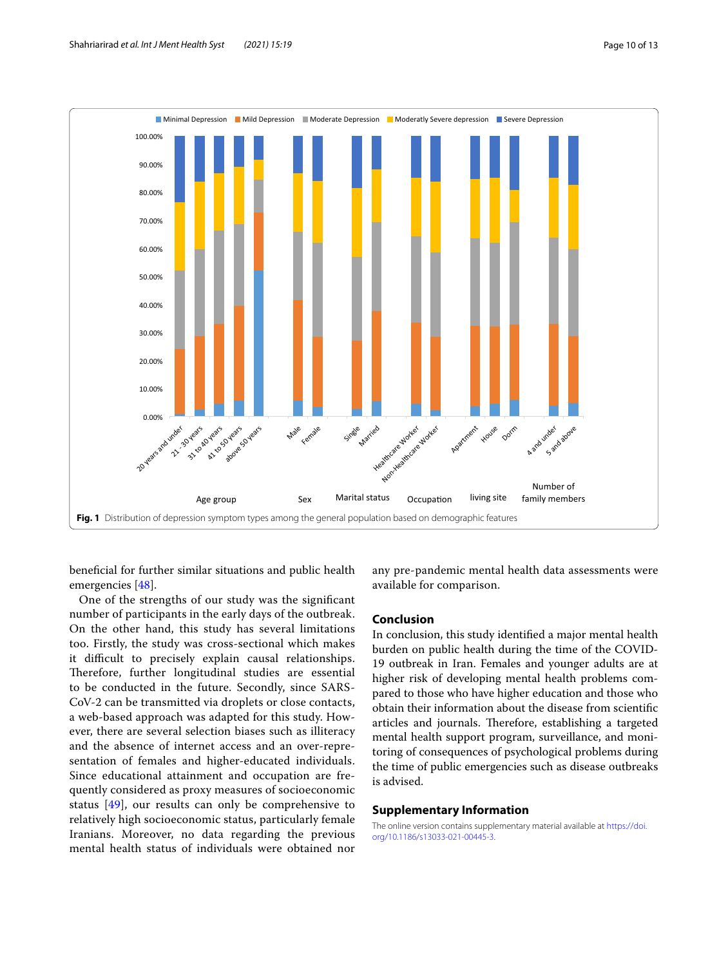

<span id="page-9-0"></span>benefcial for further similar situations and public health emergencies [\[48\]](#page-12-3).

One of the strengths of our study was the signifcant number of participants in the early days of the outbreak. On the other hand, this study has several limitations too. Firstly, the study was cross-sectional which makes it difficult to precisely explain causal relationships. Therefore, further longitudinal studies are essential to be conducted in the future. Secondly, since SARS-CoV-2 can be transmitted via droplets or close contacts, a web-based approach was adapted for this study. However, there are several selection biases such as illiteracy and the absence of internet access and an over-representation of females and higher-educated individuals. Since educational attainment and occupation are frequently considered as proxy measures of socioeconomic status [[49\]](#page-12-4), our results can only be comprehensive to relatively high socioeconomic status, particularly female Iranians. Moreover, no data regarding the previous mental health status of individuals were obtained nor any pre-pandemic mental health data assessments were available for comparison.

# **Conclusion**

In conclusion, this study identifed a major mental health burden on public health during the time of the COVID-19 outbreak in Iran. Females and younger adults are at higher risk of developing mental health problems compared to those who have higher education and those who obtain their information about the disease from scientifc articles and journals. Therefore, establishing a targeted mental health support program, surveillance, and monitoring of consequences of psychological problems during the time of public emergencies such as disease outbreaks is advised.

#### **Supplementary Information**

The online version contains supplementary material available at [https://doi.](https://doi.org/10.1186/s13033-021-00445-3) [org/10.1186/s13033-021-00445-3](https://doi.org/10.1186/s13033-021-00445-3).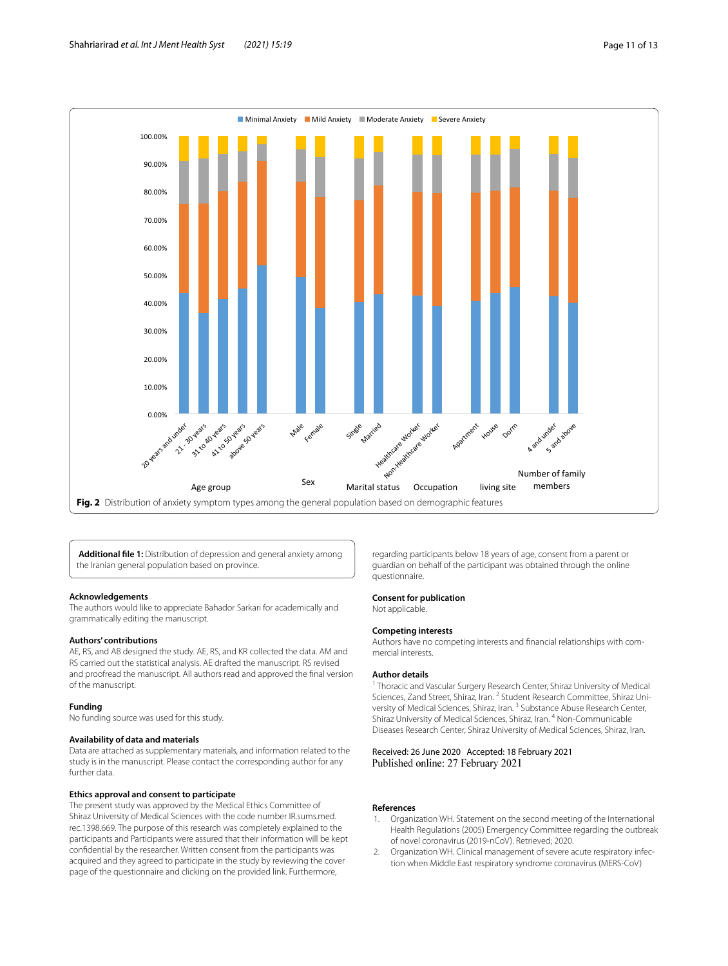

<span id="page-10-3"></span><span id="page-10-2"></span>**Additional fle 1:** Distribution of depression and general anxiety among the Iranian general population based on province.

#### **Acknowledgements**

The authors would like to appreciate Bahador Sarkari for academically and grammatically editing the manuscript.

#### **Authors' contributions**

AE, RS, and AB designed the study. AE, RS, and KR collected the data. AM and RS carried out the statistical analysis. AE drafted the manuscript. RS revised and proofread the manuscript. All authors read and approved the fnal version of the manuscript.

#### **Funding**

No funding source was used for this study.

#### **Availability of data and materials**

Data are attached as supplementary materials, and information related to the study is in the manuscript. Please contact the corresponding author for any further data.

#### **Ethics approval and consent to participate**

The present study was approved by the Medical Ethics Committee of Shiraz University of Medical Sciences with the code number IR.sums.med. rec.1398.669. The purpose of this research was completely explained to the participants and Participants were assured that their information will be kept confdential by the researcher. Written consent from the participants was acquired and they agreed to participate in the study by reviewing the cover page of the questionnaire and clicking on the provided link. Furthermore,

regarding participants below 18 years of age, consent from a parent or guardian on behalf of the participant was obtained through the online questionnaire.

#### **Consent for publication**

Not applicable.

#### **Competing interests**

Authors have no competing interests and fnancial relationships with commercial interests.

#### **Author details**

<sup>1</sup> Thoracic and Vascular Surgery Research Center, Shiraz University of Medical Sciences, Zand Street, Shiraz, Iran. <sup>2</sup> Student Research Committee, Shiraz University of Medical Sciences, Shiraz, Iran. 3 Substance Abuse Research Center, Shiraz University of Medical Sciences, Shiraz, Iran. 4 Non-Communicable Diseases Research Center, Shiraz University of Medical Sciences, Shiraz, Iran.

#### Received: 26 June 2020 Accepted: 18 February 2021 Published online: 27 February 2021

#### **References**

- <span id="page-10-0"></span>1. Organization WH. Statement on the second meeting of the International Health Regulations (2005) Emergency Committee regarding the outbreak of novel coronavirus (2019-nCoV). Retrieved; 2020.
- <span id="page-10-1"></span>2. Organization WH. Clinical management of severe acute respiratory infection when Middle East respiratory syndrome coronavirus (MERS-CoV)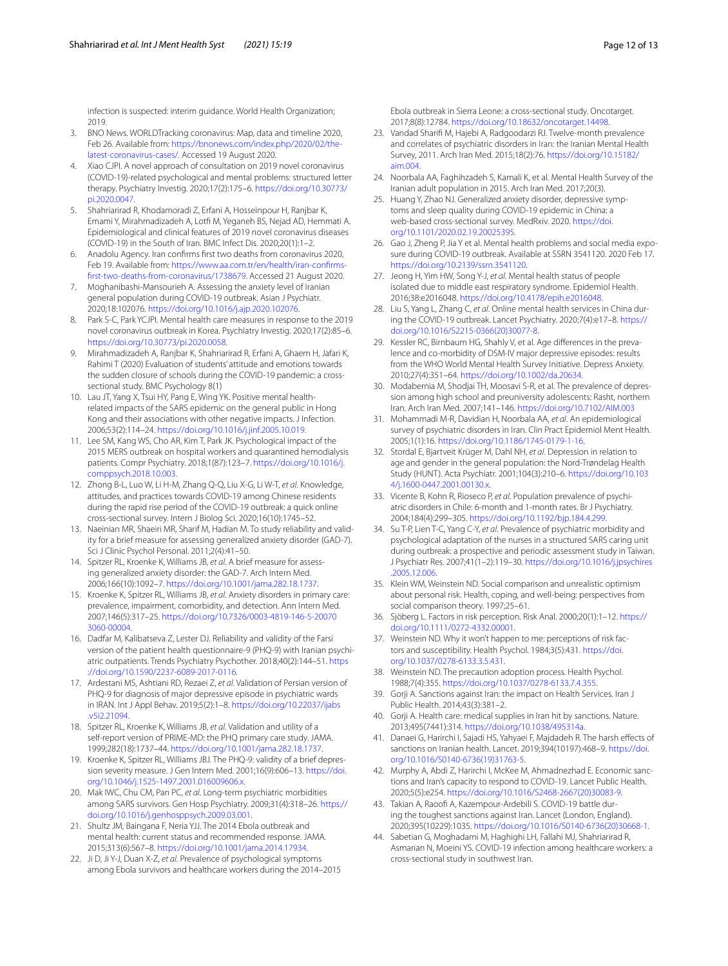infection is suspected: interim guidance. World Health Organization; 2019.

- <span id="page-11-0"></span>3. BNO News. WORLDTracking coronavirus: Map, data and timeline 2020, Feb 26. Available from: [https://bnonews.com/index.php/2020/02/the](https://bnonews.com/index.php/2020/02/the-latest-coronavirus-cases/)[latest-coronavirus-cases/.](https://bnonews.com/index.php/2020/02/the-latest-coronavirus-cases/) Accessed 19 August 2020.
- <span id="page-11-1"></span>4. Xiao CJPI. A novel approach of consultation on 2019 novel coronavirus (COVID-19)-related psychological and mental problems: structured letter therapy. Psychiatry Investig. 2020;17(2):175–6. [https://doi.org/10.30773/](https://doi.org/10.30773/pi.2020.0047) [pi.2020.0047](https://doi.org/10.30773/pi.2020.0047).
- <span id="page-11-2"></span>5. Shahriarirad R, Khodamoradi Z, Erfani A, Hosseinpour H, Ranjbar K, Emami Y, Mirahmadizadeh A, Lotf M, Yeganeh BS, Nejad AD, Hemmati A. Epidemiological and clinical features of 2019 novel coronavirus diseases (COVID-19) in the South of Iran. BMC Infect Dis. 2020;20(1):1–2.
- <span id="page-11-3"></span>6. Anadolu Agency. Iran confrms frst two deaths from coronavirus 2020, Feb 19. Available from: [https://www.aa.com.tr/en/health/iran-confrms](https://www.aa.com.tr/en/health/iran-confirms-first-two-deaths-from-coronavirus/1738679)[frst-two-deaths-from-coronavirus/1738679](https://www.aa.com.tr/en/health/iran-confirms-first-two-deaths-from-coronavirus/1738679). Accessed 21 August 2020.
- <span id="page-11-4"></span>7. Moghanibashi-Mansourieh A. Assessing the anxiety level of Iranian general population during COVID-19 outbreak. Asian J Psychiatr. 2020;18:102076.<https://doi.org/10.1016/j.ajp.2020.102076>.
- <span id="page-11-5"></span>8. Park S-C, Park YCJPI. Mental health care measures in response to the 2019 novel coronavirus outbreak in Korea. Psychiatry Investig. 2020;17(2):85–6. [https://doi.org/10.30773/pi.2020.0058.](https://doi.org/10.30773/pi.2020.0058)
- <span id="page-11-6"></span>9. Mirahmadizadeh A, Ranjbar K, Shahriarirad R, Erfani A, Ghaem H, Jafari K, Rahimi T (2020) Evaluation of students' attitude and emotions towards the sudden closure of schools during the COVID-19 pandemic: a crosssectional study. BMC Psychology 8(1)
- <span id="page-11-7"></span>10. Lau JT, Yang X, Tsui HY, Pang E, Wing YK. Positive mental healthrelated impacts of the SARS epidemic on the general public in Hong Kong and their associations with other negative impacts. J Infection. 2006;53(2):114–24. <https://doi.org/10.1016/j.jinf.2005.10.019>.
- <span id="page-11-8"></span>11. Lee SM, Kang WS, Cho AR, Kim T, Park JK. Psychological impact of the 2015 MERS outbreak on hospital workers and quarantined hemodialysis patients. Compr Psychiatry. 2018;1(87):123–7. [https://doi.org/10.1016/j.](https://doi.org/10.1016/j.comppsych.2018.10.003) [comppsych.2018.10.003.](https://doi.org/10.1016/j.comppsych.2018.10.003)
- <span id="page-11-9"></span>12. Zhong B-L, Luo W, Li H-M, Zhang Q-Q, Liu X-G, Li W-T, *et al*. Knowledge, attitudes, and practices towards COVID-19 among Chinese residents during the rapid rise period of the COVID-19 outbreak: a quick online cross-sectional survey. Intern J Biolog Sci. 2020;16(10):1745–52.
- <span id="page-11-10"></span>13. Naeinian MR, Shaeiri MR, Sharif M, Hadian M. To study reliability and validity for a brief measure for assessing generalized anxiety disorder (GAD-7). Sci J Clinic Psychol Personal. 2011;2(4):41–50.
- <span id="page-11-11"></span>14. Spitzer RL, Kroenke K, Williams JB, *et al*. A brief measure for assessing generalized anxiety disorder: the GAD-7. Arch Intern Med. 2006;166(10):1092–7.<https://doi.org/10.1001/jama.282.18.1737>.
- <span id="page-11-12"></span>15. Kroenke K, Spitzer RL, Williams JB, *et al*. Anxiety disorders in primary care: prevalence, impairment, comorbidity, and detection. Ann Intern Med. 2007;146(5):317–25. [https://doi.org/10.7326/0003-4819-146-5-20070](https://doi.org/10.7326/0003-4819-146-5-200703060-00004) [3060-00004.](https://doi.org/10.7326/0003-4819-146-5-200703060-00004)
- <span id="page-11-13"></span>16. Dadfar M, Kalibatseva Z, Lester DJ. Reliability and validity of the Farsi version of the patient health questionnaire-9 (PHQ-9) with Iranian psychiatric outpatients. Trends Psychiatry Psychother. 2018;40(2):144–51. [https](https://doi.org/10.1590/2237-6089-2017-0116) [://doi.org/10.1590/2237-6089-2017-0116](https://doi.org/10.1590/2237-6089-2017-0116).
- <span id="page-11-14"></span>17. Ardestani MS, Ashtiani RD, Rezaei Z, *et al*. Validation of Persian version of PHQ-9 for diagnosis of major depressive episode in psychiatric wards in IRAN. Int J Appl Behav. 2019;5(2):1–8. [https://doi.org/10.22037/ijabs](https://doi.org/10.22037/ijabs.v5i2.21094) [.v5i2.21094.](https://doi.org/10.22037/ijabs.v5i2.21094)
- <span id="page-11-15"></span>18. Spitzer RL, Kroenke K, Williams JB, *et al*. Validation and utility of a self-report version of PRIME-MD: the PHQ primary care study. JAMA. 1999;282(18):1737–44. <https://doi.org/10.1001/jama.282.18.1737>.
- <span id="page-11-16"></span>19. Kroenke K, Spitzer RL, Williams JBJ. The PHQ-9: validity of a brief depression severity measure. J Gen Intern Med. 2001;16(9):606–13. [https://doi.](https://doi.org/10.1046/j.1525-1497.2001.016009606.x) [org/10.1046/j.1525-1497.2001.016009606.x](https://doi.org/10.1046/j.1525-1497.2001.016009606.x).
- <span id="page-11-17"></span>20. Mak IWC, Chu CM, Pan PC, *et al*. Long-term psychiatric morbidities among SARS survivors. Gen Hosp Psychiatry. 2009;31(4):318–26. [https://](https://doi.org/10.1016/j.genhosppsych.2009.03.001) [doi.org/10.1016/j.genhosppsych.2009.03.001](https://doi.org/10.1016/j.genhosppsych.2009.03.001).
- <span id="page-11-18"></span>21. Shultz JM, Baingana F, Neria YJJ. The 2014 Ebola outbreak and mental health: current status and recommended response. JAMA. 2015;313(6):567–8. [https://doi.org/10.1001/jama.2014.17934.](https://doi.org/10.1001/jama.2014.17934)
- <span id="page-11-19"></span>22. Ji D, Ji Y-J, Duan X-Z, *et al*. Prevalence of psychological symptoms among Ebola survivors and healthcare workers during the 2014–2015

Ebola outbreak in Sierra Leone: a cross-sectional study. Oncotarget. 2017;8(8):12784. [https://doi.org/10.18632/oncotarget.14498.](https://doi.org/10.18632/oncotarget.14498)

- <span id="page-11-20"></span>23. Vandad Sharif M, Hajebi A, Radgoodarzi RJ. Twelve-month prevalence and correlates of psychiatric disorders in Iran: the Iranian Mental Health Survey, 2011. Arch Iran Med. 2015;18(2):76. [https://doi.org/10.15182/](https://doi.org/10.15182/aim.004) [aim.004](https://doi.org/10.15182/aim.004).
- <span id="page-11-21"></span>24. Noorbala AA, Faghihzadeh S, Kamali K, et al. Mental Health Survey of the Iranian adult population in 2015. Arch Iran Med. 2017;20(3).
- <span id="page-11-22"></span>25. Huang Y, Zhao NJ. Generalized anxiety disorder, depressive symptoms and sleep quality during COVID-19 epidemic in China: a web-based cross-sectional survey. MedRxiv. 2020. [https://doi.](https://doi.org/10.1101/2020.02.19.20025395) [org/10.1101/2020.02.19.20025395.](https://doi.org/10.1101/2020.02.19.20025395)
- <span id="page-11-23"></span>26. Gao J, Zheng P, Jia Y et al. Mental health problems and social media exposure during COVID-19 outbreak. Available at SSRN 3541120. 2020 Feb 17. <https://doi.org/10.2139/ssrn.3541120>.
- <span id="page-11-24"></span>27. Jeong H, Yim HW, Song Y-J, *et al*. Mental health status of people isolated due to middle east respiratory syndrome. Epidemiol Health. 2016;38:e2016048.<https://doi.org/10.4178/epih.e2016048>.
- <span id="page-11-25"></span>28. Liu S, Yang L, Zhang C, *et al*. Online mental health services in China during the COVID-19 outbreak. Lancet Psychiatry. 2020;7(4):e17–8. [https://](https://doi.org/10.1016/S2215-0366(20)30077-8) [doi.org/10.1016/S2215-0366\(20\)30077-8.](https://doi.org/10.1016/S2215-0366(20)30077-8)
- <span id="page-11-26"></span>29. Kessler RC, Birnbaum HG, Shahly V, et al. Age diferences in the prevalence and co-morbidity of DSM-IV major depressive episodes: results from the WHO World Mental Health Survey Initiative. Depress Anxiety. 2010;27(4):351–64. [https://doi.org/10.1002/da.20634.](https://doi.org/10.1002/da.20634)
- <span id="page-11-27"></span>30. Modabernia M, Shodjai TH, Moosavi S-R, et al. The prevalence of depression among high school and preuniversity adolescents: Rasht, northern Iran. Arch Iran Med. 2007;141–146. <https://doi.org/10.7102/AIM.003>
- <span id="page-11-28"></span>31. Mohammadi M-R, Davidian H, Noorbala AA, *et al*. An epidemiological survey of psychiatric disorders in Iran. Clin Pract Epidemiol Ment Health. 2005;1(1):16. <https://doi.org/10.1186/1745-0179-1-16>.
- <span id="page-11-29"></span>32. Stordal E, Bjartveit Krüger M, Dahl NH, *et al*. Depression in relation to age and gender in the general population: the Nord-Trøndelag Health Study (HUNT). Acta Psychiatr. 2001;104(3):210–6. [https://doi.org/10.103](https://doi.org/10.1034/j.1600-0447.2001.00130.x) [4/j.1600-0447.2001.00130.x](https://doi.org/10.1034/j.1600-0447.2001.00130.x).
- <span id="page-11-30"></span>33. Vicente B, Kohn R, Rioseco P, *et al*. Population prevalence of psychiatric disorders in Chile: 6-month and 1-month rates. Br J Psychiatry. 2004;184(4):299–305.<https://doi.org/10.1192/bjp.184.4.299>.
- <span id="page-11-31"></span>34. Su T-P, Lien T-C, Yang C-Y, *et al*. Prevalence of psychiatric morbidity and psychological adaptation of the nurses in a structured SARS caring unit during outbreak: a prospective and periodic assessment study in Taiwan. J Psychiatr Res. 2007;41(1–2):119–30. [https://doi.org/10.1016/j.jpsychires](https://doi.org/10.1016/j.jpsychires.2005.12.006) [.2005.12.006.](https://doi.org/10.1016/j.jpsychires.2005.12.006)
- <span id="page-11-32"></span>35. Klein WM, Weinstein ND. Social comparison and unrealistic optimism about personal risk. Health, coping, and well-being: perspectives from social comparison theory. 1997;25–61.
- 36. Sjöberg L. Factors in risk perception. Risk Anal. 2000;20(1):1–12. [https://](https://doi.org/10.1111/0272-4332.00001) [doi.org/10.1111/0272-4332.00001.](https://doi.org/10.1111/0272-4332.00001)
- 37. Weinstein ND. Why it won't happen to me: perceptions of risk factors and susceptibility. Health Psychol. 1984;3(5):431. [https://doi.](https://doi.org/10.1037/0278-6133.3.5.431) [org/10.1037/0278-6133.3.5.431](https://doi.org/10.1037/0278-6133.3.5.431).
- <span id="page-11-33"></span>38. Weinstein ND. The precaution adoption process. Health Psychol. 1988;7(4):355. [https://doi.org/10.1037/0278-6133.7.4.355.](https://doi.org/10.1037/0278-6133.7.4.355)
- <span id="page-11-34"></span>39. Gorji A. Sanctions against Iran: the impact on Health Services. Iran J Public Health. 2014;43(3):381–2.
- <span id="page-11-35"></span>40. Gorji A. Health care: medical supplies in Iran hit by sanctions. Nature. 2013;495(7441):314. [https://doi.org/10.1038/495314a.](https://doi.org/10.1038/495314a)
- <span id="page-11-36"></span>41. Danaei G, Harirchi I, Sajadi HS, Yahyaei F, Majdadeh R. The harsh efects of sanctions on Iranian health. Lancet. 2019;394(10197):468–9. [https://doi.](https://doi.org/10.1016/S0140-6736(19)31763-5) [org/10.1016/S0140-6736\(19\)31763-5.](https://doi.org/10.1016/S0140-6736(19)31763-5)
- <span id="page-11-37"></span>42. Murphy A, Abdi Z, Harirchi I, McKee M, Ahmadnezhad E. Economic sanctions and Iran's capacity to respond to COVID-19. Lancet Public Health. 2020;5(5):e254. [https://doi.org/10.1016/S2468-2667\(20\)30083-9](https://doi.org/10.1016/S2468-2667(20)30083-9).
- <span id="page-11-38"></span>43. Takian A, Raoof A, Kazempour-Ardebili S. COVID-19 battle during the toughest sanctions against Iran. Lancet (London, England). 2020;395(10229):1035. [https://doi.org/10.1016/S0140-6736\(20\)30668-1](https://doi.org/10.1016/S0140-6736(20)30668-1).
- <span id="page-11-39"></span>Sabetian G, Moghadami M, Haghighi LH, Fallahi MJ, Shahriarirad R, Asmarian N, Moeini YS. COVID-19 infection among healthcare workers: a cross-sectional study in southwest Iran.